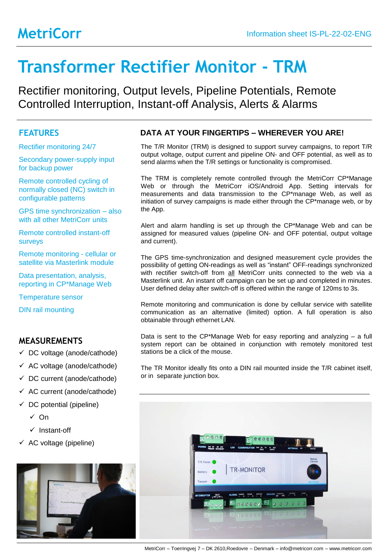# **Transformer Rectifier Monitor - TRM**

Rectifier monitoring, Output levels, Pipeline Potentials, Remote Controlled Interruption, Instant-off Analysis, Alerts & Alarms

### **FEATURES**

Rectifier monitoring 24/7

Secondary power-supply input for backup power

Remote controlled cycling of normally closed (NC) switch in configurable patterns

GPS time synchronization – also with all other MetriCorr units

Remote controlled instant-off surveys

Remote monitoring - cellular or satellite via Masterlink module

Data presentation, analysis, reporting in CP\*Manage Web

Temperature sensor

DIN rail mounting

#### **MEASUREMENTS**

- $\checkmark$  DC voltage (anode/cathode)
- $\checkmark$  AC voltage (anode/cathode)
- $\checkmark$  DC current (anode/cathode)
- $\checkmark$  AC current (anode/cathode)
- $\checkmark$  DC potential (pipeline)
	- ✓ On
	- ✓ Instant-off
- $\checkmark$  AC voltage (pipeline)



#### **DATA AT YOUR FINGERTIPS – WHEREVER YOU ARE!**

The T/R Monitor (TRM) is designed to support survey campaigns, to report T/R output voltage, output current and pipeline ON- and OFF potential, as well as to send alarms when the T/R settings or functionality is compromised.

The TRM is completely remote controlled through the MetriCorr CP\*Manage Web or through the MetriCorr iOS/Android App. Setting intervals for measurements and data transmission to the CP\*manage Web, as well as initiation of survey campaigns is made either through the CP\*manage web, or by the App.

Alert and alarm handling is set up through the CP\*Manage Web and can be assigned for measured values (pipeline ON- and OFF potential, output voltage and current).

The GPS time-synchronization and designed measurement cycle provides the possibility of getting ON-readings as well as "instant" OFF-readings synchronized with rectifier switch-off from all MetriCorr units connected to the web via a Masterlink unit. An instant off campaign can be set up and completed in minutes. User defined delay after switch-off is offered within the range of 120ms to 3s.

Remote monitoring and communication is done by cellular service with satellite communication as an alternative (limited) option. A full operation is also obtainable through ethernet LAN.

Data is sent to the  $\mathbb{CP}^*$ Manage Web for easy reporting and analyzing – a full system report can be obtained in conjunction with remotely monitored test stations be a click of the mouse.

The TR Monitor ideally fits onto a DIN rail mounted inside the T/R cabinet itself, or in separate junction box.



MetriCorr – Toerringvej 7 – DK 2610,Roedovre – Denmark – info@metricorr.com – www.metricorr.com